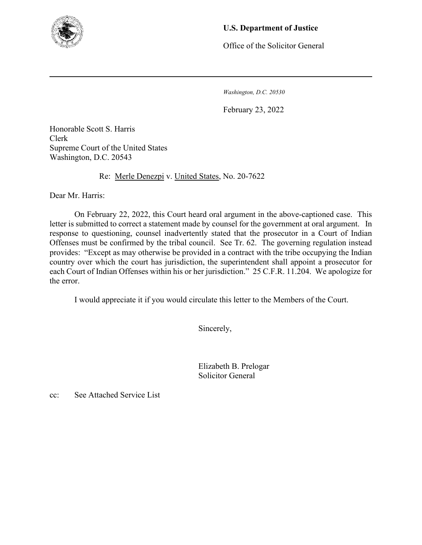

## **U.S. Department of Justice**

Office of the Solicitor General

*Washington, D.C. 20530*

February 23, 2022

Honorable Scott S. Harris Clerk Supreme Court of the United States Washington, D.C. 20543

Re: Merle Denezpi v. United States, No. 20-7622

Dear Mr. Harris:

On February 22, 2022, this Court heard oral argument in the above-captioned case. This letter is submitted to correct a statement made by counsel for the government at oral argument. In response to questioning, counsel inadvertently stated that the prosecutor in a Court of Indian Offenses must be confirmed by the tribal council. See Tr. 62. The governing regulation instead provides: "Except as may otherwise be provided in a contract with the tribe occupying the Indian country over which the court has jurisdiction, the superintendent shall appoint a prosecutor for each Court of Indian Offenses within his or her jurisdiction." 25 C.F.R. 11.204. We apologize for the error.

I would appreciate it if you would circulate this letter to the Members of the Court.

Sincerely,

 Elizabeth B. Prelogar Solicitor General

cc: See Attached Service List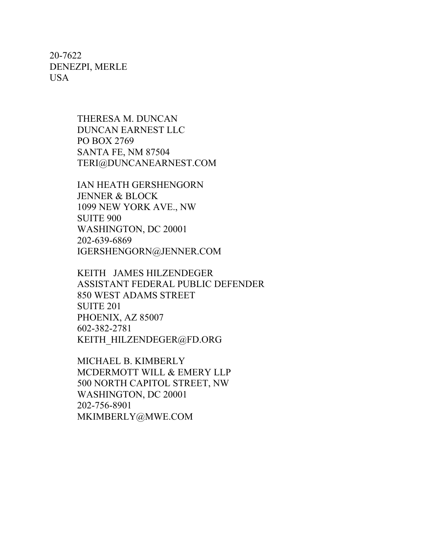20-7622 DENEZPI, MERLE USA

> THERESA M. DUNCAN DUNCAN EARNEST LLC PO BOX 2769 SANTA FE, NM 87504 TERI@DUNCANEARNEST.COM

IAN HEATH GERSHENGORN JENNER & BLOCK 1099 NEW YORK AVE., NW SUITE 900 WASHINGTON, DC 20001 202-639-6869 IGERSHENGORN@JENNER.COM

KEITH JAMES HILZENDEGER ASSISTANT FEDERAL PUBLIC DEFENDER 850 WEST ADAMS STREET SUITE 201 PHOENIX, AZ 85007 602-382-2781 KEITH\_HILZENDEGER@FD.ORG

MICHAEL B. KIMBERLY MCDERMOTT WILL & EMERY LLP 500 NORTH CAPITOL STREET, NW WASHINGTON, DC 20001 202-756-8901 MKIMBERLY@MWE.COM